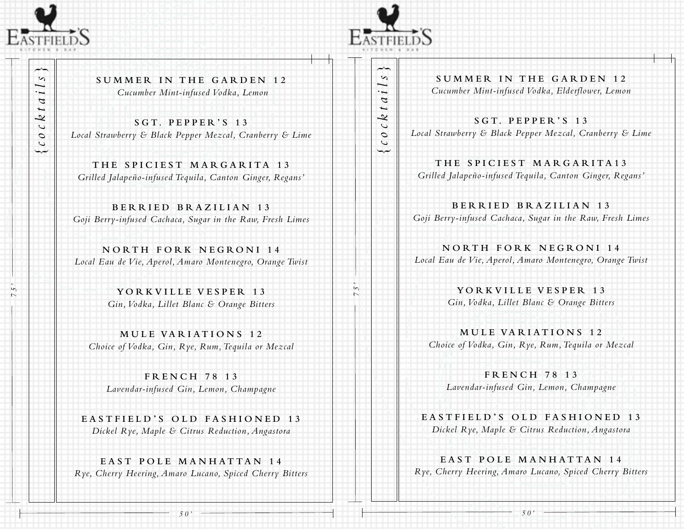

*{cocktails}*

cockta

سہا

 $\sim$ 

—  $\cdot$ 

*75'*

**SUMMER IN THE GARDEN 12**  *Cucumber Mint-infused Vodka, Lemon* 

**S G T. P E P P E R ' S 1 3**  *Local Strawberry & Black Pepper Mezcal, Cranberry & Lime*

THE SPICIEST MARGARITA 13 *Grilled Jalapeño-infused Tequila, Canton Ginger, Regans'*

**BERRIED BRAZILIAN 13** *Goji Berry-infused Cachaca, Sugar in the Raw, Fresh Limes*

**NORTH FORK NEGRONI 14** *Local Eau de Vie, Aperol, Amaro Montenegro, Orange Twist*

> **YORKVILLE VESPER 13** *Gin, Vodka, Lillet Blanc & Orange Bitters*

**MULE VARIATIONS 12** *Choice of Vodka, Gin, Rye, Rum, Tequila or Mezcal*

**FRENCH 78 13** *Lavendar-infused Gin, Lemon, Champagne*

**EASTFIELD'S OLD FASHIONED 13** *Dickel Rye, Maple & Citrus Reduction, Angastora*

**EAST POLE MANHATTAN 14** *Rye, Cherry Heering, Amaro Lucano, Spiced Cherry Bitters* 



*{cocktails}*

cockta

نساب

 $\overline{\phantom{a}}$  $\sim$ 

 $\ddot{i}$ 

*75'*

SUMMER IN THE GARDEN 12 *Cucumber Mint-infused Vodka, Elderflower, Lemon* 

**S G T. P E P P E R ' S 1 3**  *Local Strawberry & Black Pepper Mezcal, Cranberry & Lime*

THE SPICIEST MARGARITA13 *Grilled Jalapeño-infused Tequila, Canton Ginger, Regans'*

**BERRIED BRAZILIAN 13** *Goji Berry-infused Cachaca, Sugar in the Raw, Fresh Limes*

**NORTH FORK NEGRONI 14** *Local Eau de Vie, Aperol, Amaro Montenegro, Orange Twist*

> **YORKVILLE VESPER 13** *Gin, Vodka, Lillet Blanc & Orange Bitters*

**MULE VARIATIONS 12** *Choice of Vodka, Gin, Rye, Rum, Tequila or Mezcal*

**FRENCH 78 13** *Lavendar-infused Gin, Lemon, Champagne*

**EASTFIELD'S OLD FASHIONED 13** *Dickel Rye, Maple & Citrus Reduction, Angastora*

**EAST POLE MANHATTAN 14** *Rye, Cherry Heering, Amaro Lucano, Spiced Cherry Bitters* 

*50'*

*50'*